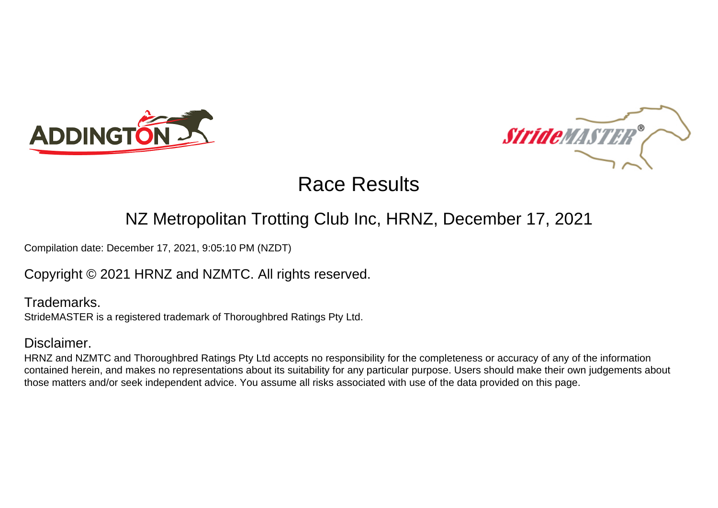



# Race Results

## NZ Metropolitan Trotting Club Inc, HRNZ, December 17, 2021

Compilation date: December 17, 2021, 9:05:10 PM (NZDT)

## Copyright © 2021 HRNZ and NZMTC. All rights reserved.

Trademarks. StrideMASTER is a registered trademark of Thoroughbred Ratings Pty Ltd.

#### Disclaimer.

HRNZ and NZMTC and Thoroughbred Ratings Pty Ltd accepts no responsibility for the completeness or accuracy of any of the information contained herein, and makes no representations about its suitability for any particular purpose. Users should make their own judgements about those matters and/or seek independent advice. You assume all risks associated with use of the data provided on this page.